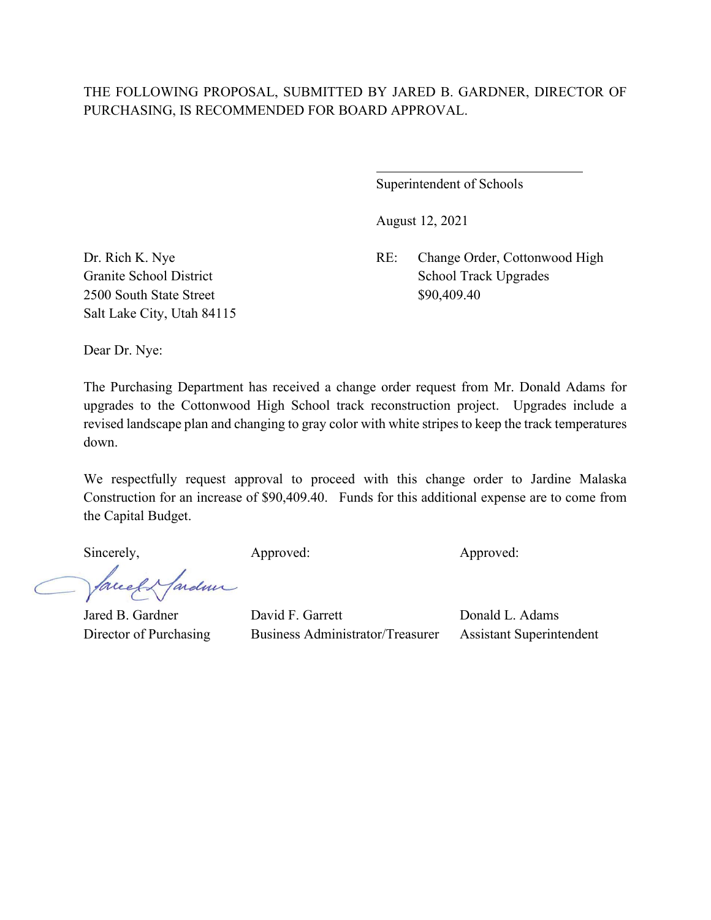# THE FOLLOWING PROPOSAL, SUBMITTED BY JARED B. GARDNER, DIRECTOR OF PURCHASING, IS RECOMMENDED FOR BOARD APPROVAL.

 $\overline{a}$ 

Superintendent of Schools

August 12, 2021

Dr. Rich K. Nye RE: Change Order, Cottonwood High Granite School District School Track Upgrades

2500 South State Street \$90,409.40 Salt Lake City, Utah 84115

Dear Dr. Nye:

The Purchasing Department has received a change order request from Mr. Donald Adams for upgrades to the Cottonwood High School track reconstruction project. Upgrades include a revised landscape plan and changing to gray color with white stripes to keep the track temperatures down.

We respectfully request approval to proceed with this change order to Jardine Malaska Construction for an increase of \$90,409.40. Funds for this additional expense are to come from the Capital Budget.

Sincerely, Approved: Approved: Approved: Approved:

facel & farden

Jared B. Gardner David F. Garrett Donald L. Adams Director of Purchasing Business Administrator/Treasurer Assistant Superintendent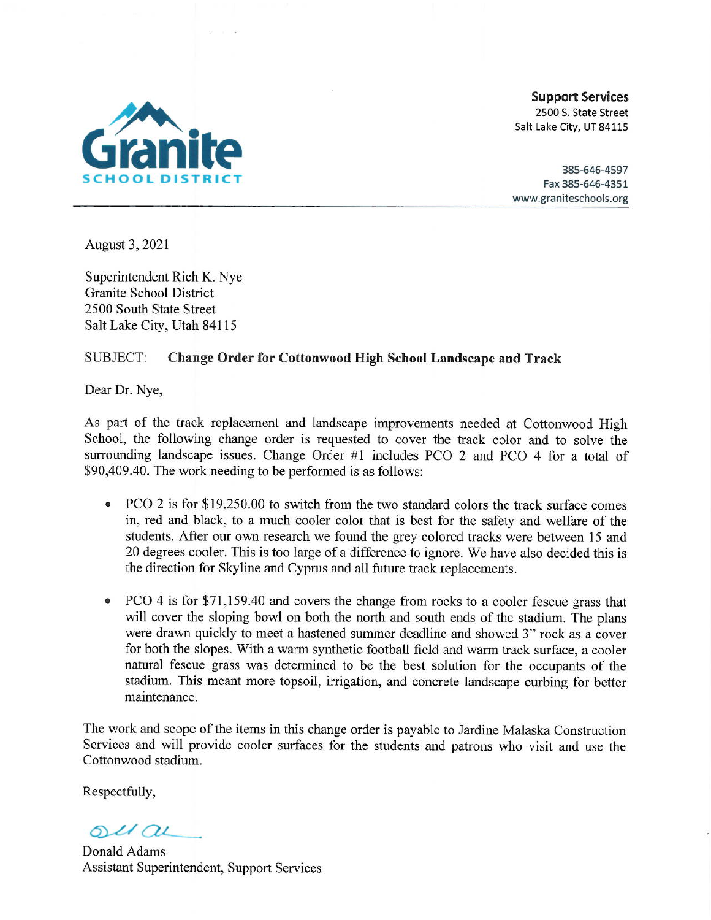

**Support Services** 2500 S. State Street Salt Lake City, UT 84115

385-646-4597 Fax 385-646-4351 www.graniteschools.org

August 3, 2021

Superintendent Rich K. Nye Granite School District 2500 South State Street Salt Lake City, Utah 84115

### **SUBJECT: Change Order for Cottonwood High School Landscape and Track**

Dear Dr. Nye,

As part of the track replacement and landscape improvements needed at Cottonwood High School, the following change order is requested to cover the track color and to solve the surrounding landscape issues. Change Order #1 includes PCO 2 and PCO 4 for a total of \$90,409.40. The work needing to be performed is as follows:

- PCO 2 is for \$19,250.00 to switch from the two standard colors the track surface comes  $\bullet$ in, red and black, to a much cooler color that is best for the safety and welfare of the students. After our own research we found the grey colored tracks were between 15 and 20 degrees cooler. This is too large of a difference to ignore. We have also decided this is the direction for Skyline and Cyprus and all future track replacements.
- PCO 4 is for \$71,159.40 and covers the change from rocks to a cooler fescue grass that will cover the sloping bowl on both the north and south ends of the stadium. The plans were drawn quickly to meet a hastened summer deadline and showed 3" rock as a cover for both the slopes. With a warm synthetic football field and warm track surface, a cooler natural fescue grass was determined to be the best solution for the occupants of the stadium. This meant more topsoil, irrigation, and concrete landscape curbing for better maintenance.

The work and scope of the items in this change order is payable to Jardine Malaska Construction Services and will provide cooler surfaces for the students and patrons who visit and use the Cottonwood stadium.

Respectfully,

 $ol(au)$ 

Donald Adams Assistant Superintendent, Support Services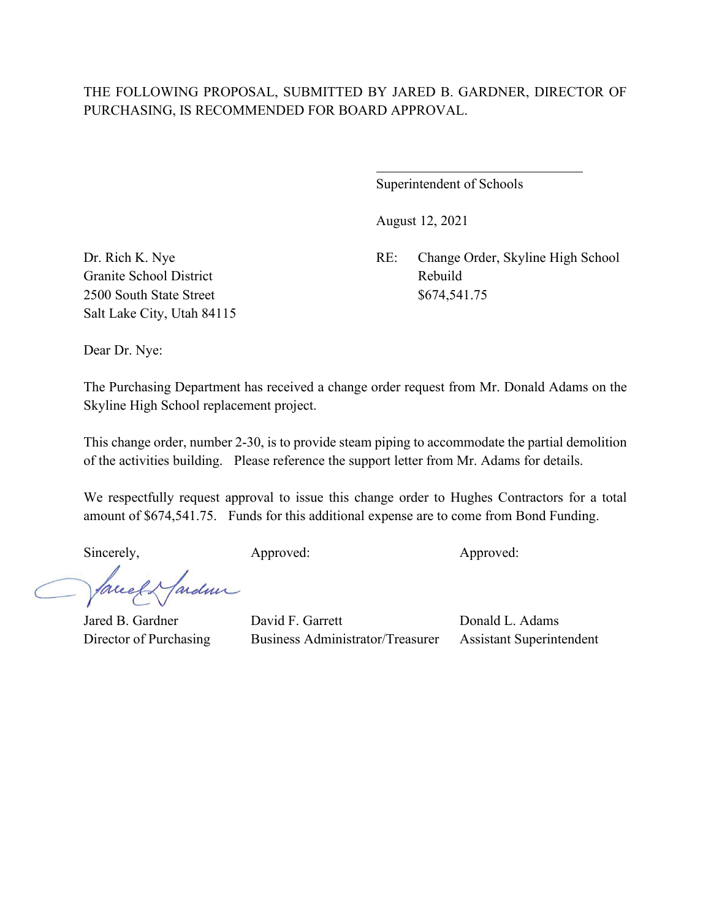# THE FOLLOWING PROPOSAL, SUBMITTED BY JARED B. GARDNER, DIRECTOR OF PURCHASING, IS RECOMMENDED FOR BOARD APPROVAL.

 $\overline{a}$ 

Superintendent of Schools

August 12, 2021

Dr. Rich K. Nye RE: Change Order, Skyline High School

Granite School District Rebuild 2500 South State Street \$674,541.75 Salt Lake City, Utah 84115

Dear Dr. Nye:

The Purchasing Department has received a change order request from Mr. Donald Adams on the Skyline High School replacement project.

This change order, number 2-30, is to provide steam piping to accommodate the partial demolition of the activities building. Please reference the support letter from Mr. Adams for details.

We respectfully request approval to issue this change order to Hughes Contractors for a total amount of \$674,541.75. Funds for this additional expense are to come from Bond Funding.

Sincerely, Approved: Approved: Approved: Approved:

facely farden

Jared B. Gardner David F. Garrett Donald L. Adams Director of Purchasing Business Administrator/Treasurer Assistant Superintendent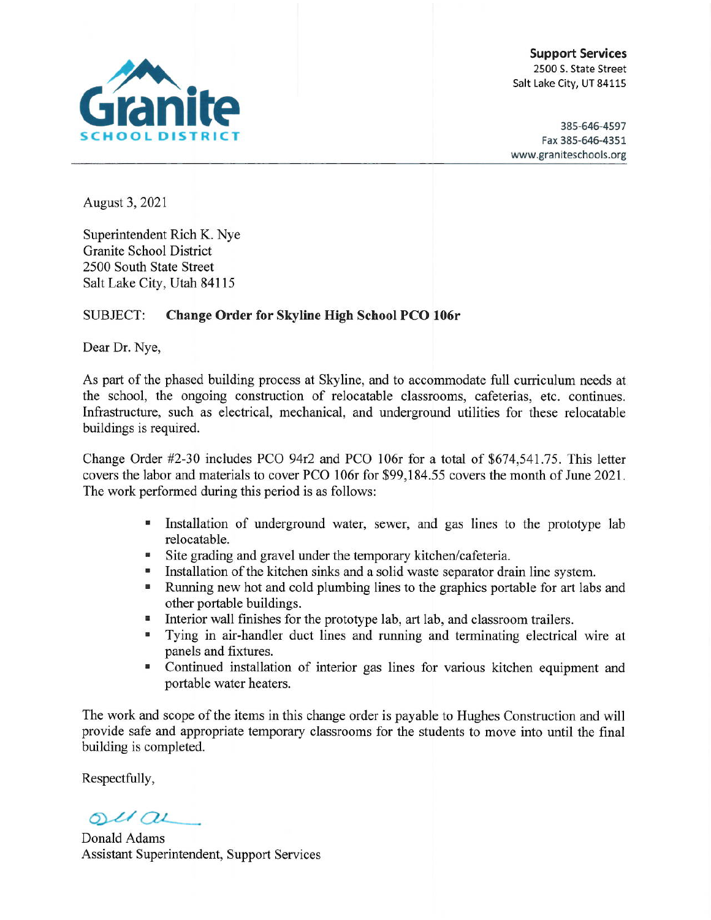

**Support Services** 2500 S. State Street Salt Lake City, UT 84115

385-646-4597 Fax 385-646-4351 www.graniteschools.org

August 3, 2021

Superintendent Rich K. Nye **Granite School District** 2500 South State Street Salt Lake City, Utah 84115

### Change Order for Skyline High School PCO 106r **SUBJECT:**

Dear Dr. Nye,

As part of the phased building process at Skyline, and to accommodate full curriculum needs at the school, the ongoing construction of relocatable classrooms, cafeterias, etc. continues. Infrastructure, such as electrical, mechanical, and underground utilities for these relocatable buildings is required.

Change Order #2-30 includes PCO 94r2 and PCO 106r for a total of \$674,541.75. This letter covers the labor and materials to cover PCO 106r for \$99,184.55 covers the month of June 2021. The work performed during this period is as follows:

- Installation of underground water, sewer, and gas lines to the prototype lab relocatable.
- " Site grading and gravel under the temporary kitchen/cafeteria.
- Installation of the kitchen sinks and a solid waste separator drain line system.
- Running new hot and cold plumbing lines to the graphics portable for art labs and other portable buildings.
- Interior wall finishes for the prototype lab, art lab, and classroom trailers.
- Tying in air-handler duct lines and running and terminating electrical wire at panels and fixtures.
- Continued installation of interior gas lines for various kitchen equipment and portable water heaters.

The work and scope of the items in this change order is payable to Hughes Construction and will provide safe and appropriate temporary classrooms for the students to move into until the final building is completed.

Respectfully,

 $ol(au)$ 

Donald Adams Assistant Superintendent, Support Services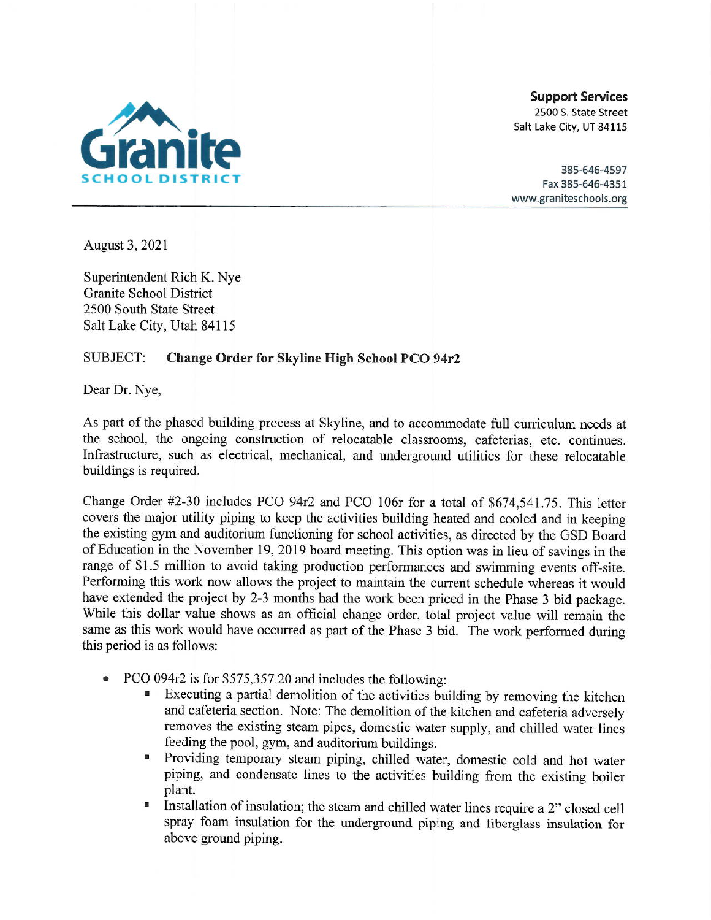

**Support Services** 2500 S. State Street Salt Lake City, UT 84115

385-646-4597 Fax 385-646-4351 www.graniteschools.org

August 3, 2021

Superintendent Rich K. Nye **Granite School District** 2500 South State Street Salt Lake City, Utah 84115

### **SUBJECT:** Change Order for Skyline High School PCO 94r2

Dear Dr. Nye,

As part of the phased building process at Skyline, and to accommodate full curriculum needs at the school, the ongoing construction of relocatable classrooms, cafeterias, etc. continues. Infrastructure, such as electrical, mechanical, and underground utilities for these relocatable buildings is required.

Change Order #2-30 includes PCO 94r2 and PCO 106r for a total of \$674,541.75. This letter covers the major utility piping to keep the activities building heated and cooled and in keeping the existing gym and auditorium functioning for school activities, as directed by the GSD Board of Education in the November 19, 2019 board meeting. This option was in lieu of savings in the range of \$1.5 million to avoid taking production performances and swimming events off-site. Performing this work now allows the project to maintain the current schedule whereas it would have extended the project by 2-3 months had the work been priced in the Phase 3 bid package. While this dollar value shows as an official change order, total project value will remain the same as this work would have occurred as part of the Phase 3 bid. The work performed during this period is as follows:

- PCO 094r2 is for \$575,357.20 and includes the following:
	- Executing a partial demolition of the activities building by removing the kitchen and cafeteria section. Note: The demolition of the kitchen and cafeteria adversely removes the existing steam pipes, domestic water supply, and chilled water lines feeding the pool, gym, and auditorium buildings.
	- Providing temporary steam piping, chilled water, domestic cold and hot water piping, and condensate lines to the activities building from the existing boiler plant.
	- Installation of insulation; the steam and chilled water lines require a 2" closed cell  $\blacksquare$ spray foam insulation for the underground piping and fiberglass insulation for above ground piping.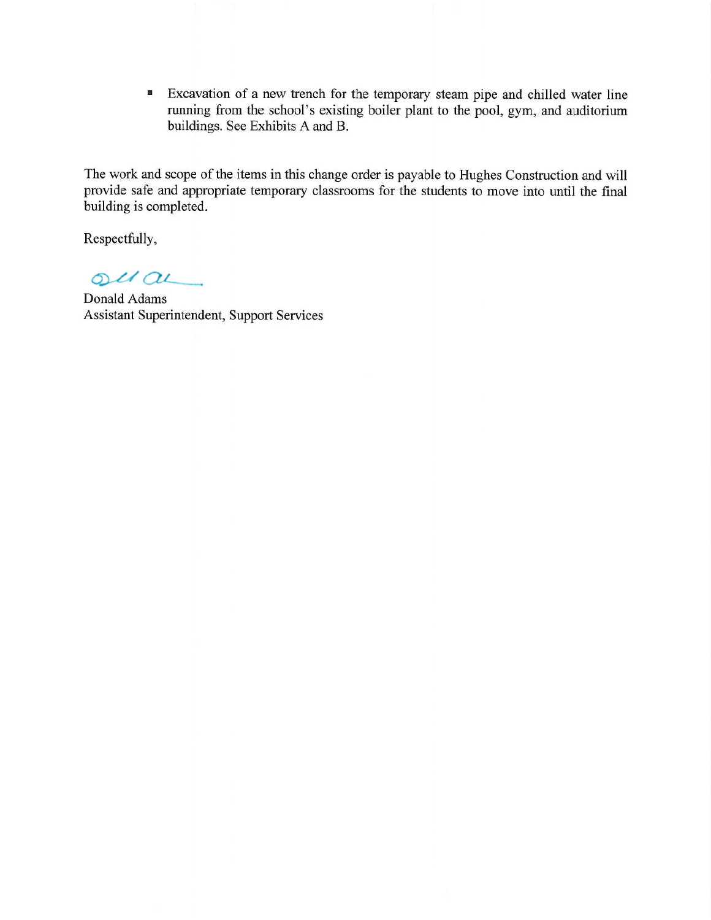Excavation of a new trench for the temporary steam pipe and chilled water line a running from the school's existing boiler plant to the pool, gym, and auditorium buildings. See Exhibits A and B.

The work and scope of the items in this change order is payable to Hughes Construction and will provide safe and appropriate temporary classrooms for the students to move into until the final building is completed.

Respectfully,

 $oulou$ 

Donald Adams Assistant Superintendent, Support Services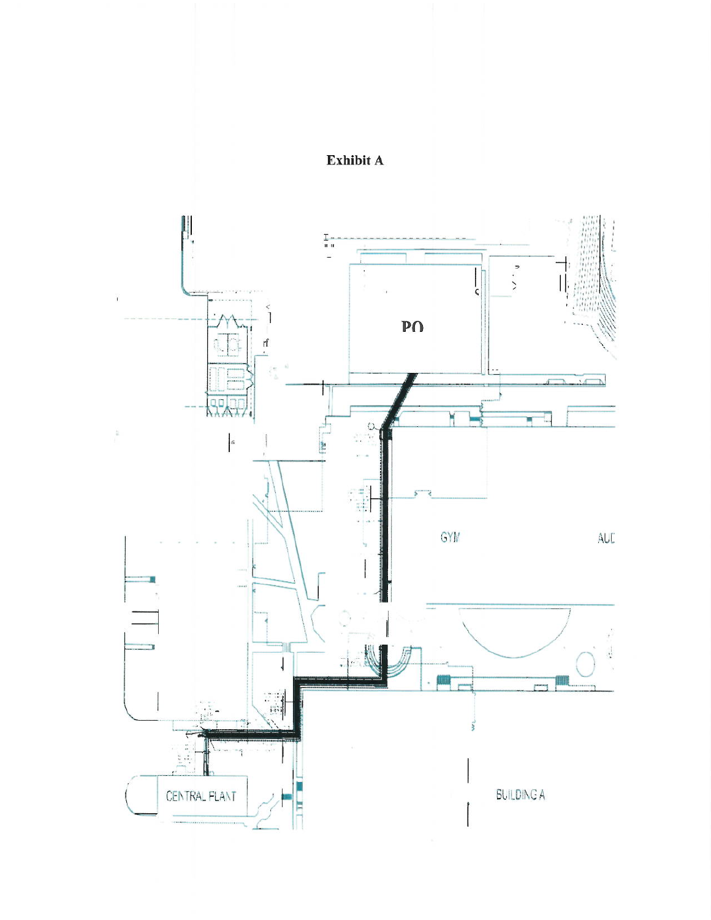